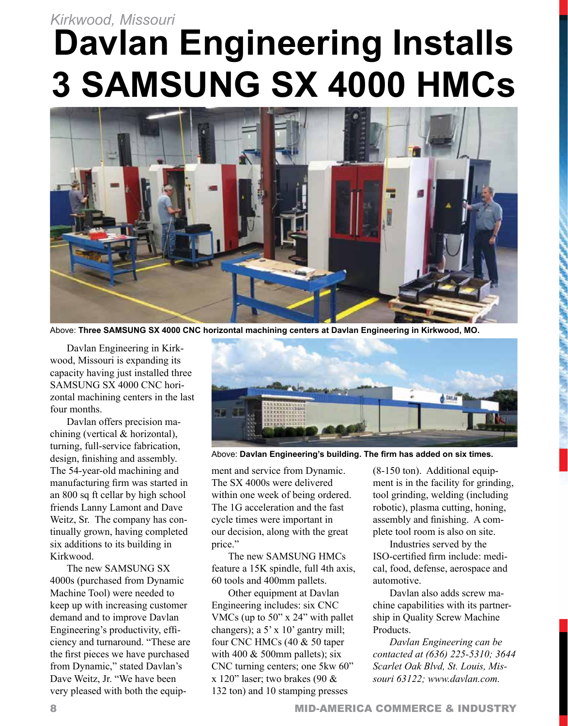# **Davlan Engineering Installs 3 SAMSUNG SX 4000 HMCs** *Kirkwood, Missouri*



Above: **Three SAMSUNG SX 4000 CNC horizontal machining centers at Davlan Engineering in Kirkwood, MO.**

Davlan Engineering in Kirkwood, Missouri is expanding its capacity having just installed three SAMSUNG SX 4000 CNC horizontal machining centers in the last four months.

Davlan offers precision machining (vertical & horizontal), turning, full-service fabrication, design, finishing and assembly. The 54-year-old machining and manufacturing firm was started in an 800 sq ft cellar by high school friends Lanny Lamont and Dave Weitz, Sr. The company has continually grown, having completed six additions to its building in Kirkwood.

The new SAMSUNG SX 4000s (purchased from Dynamic Machine Tool) were needed to keep up with increasing customer demand and to improve Davlan Engineering's productivity, efficiency and turnaround. "These are the first pieces we have purchased from Dynamic," stated Davlan's Dave Weitz, Jr. "We have been very pleased with both the equip-



Above: **Davlan Engineering's building. The firm has added on six times.**

ment and service from Dynamic. The SX 4000s were delivered within one week of being ordered. The 1G acceleration and the fast cycle times were important in our decision, along with the great price."

The new SAMSUNG HMCs feature a 15K spindle, full 4th axis, 60 tools and 400mm pallets.

Other equipment at Davlan Engineering includes: six CNC VMCs (up to 50" x 24" with pallet changers); a 5' x 10' gantry mill; four CNC HMCs (40 & 50 taper with 400  $&$  500mm pallets); six CNC turning centers; one 5kw 60" x 120" laser; two brakes (90  $\&$ 132 ton) and 10 stamping presses

(8-150 ton). Additional equipment is in the facility for grinding, tool grinding, welding (including robotic), plasma cutting, honing, assembly and finishing. A complete tool room is also on site.

Industries served by the ISO-certified firm include: medical, food, defense, aerospace and automotive.

Davlan also adds screw machine capabilities with its partnership in Quality Screw Machine Products.

*Davlan Engineering can be contacted at (636) 225-5310; 3644 Scarlet Oak Blvd, St. Louis, Missouri 63122; www.davlan.com.*